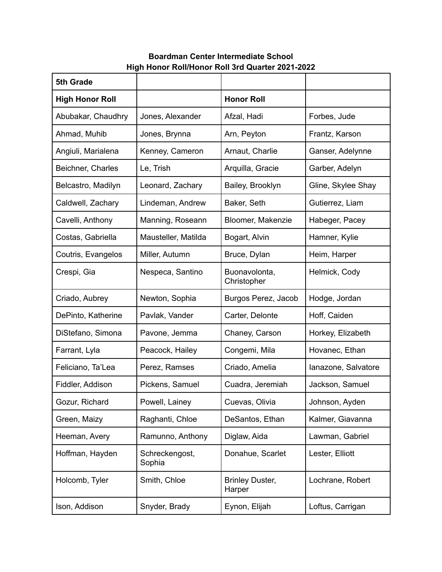## **Boardman Center Intermediate School High Honor Roll/Honor Roll 3rd Quarter 2021-2022**

| 5th Grade              |                          |                                  |                     |
|------------------------|--------------------------|----------------------------------|---------------------|
| <b>High Honor Roll</b> |                          | <b>Honor Roll</b>                |                     |
| Abubakar, Chaudhry     | Jones, Alexander         | Afzal, Hadi                      | Forbes, Jude        |
| Ahmad, Muhib           | Jones, Brynna            | Arn, Peyton                      | Frantz, Karson      |
| Angiuli, Marialena     | Kenney, Cameron          | Arnaut, Charlie                  | Ganser, Adelynne    |
| Beichner, Charles      | Le, Trish                | Arquilla, Gracie                 | Garber, Adelyn      |
| Belcastro, Madilyn     | Leonard, Zachary         | Bailey, Brooklyn                 | Gline, Skylee Shay  |
| Caldwell, Zachary      | Lindeman, Andrew         | Baker, Seth                      | Gutierrez, Liam     |
| Cavelli, Anthony       | Manning, Roseann         | Bloomer, Makenzie                | Habeger, Pacey      |
| Costas, Gabriella      | Mausteller, Matilda      | Bogart, Alvin                    | Hamner, Kylie       |
| Coutris, Evangelos     | Miller, Autumn           | Bruce, Dylan                     | Heim, Harper        |
| Crespi, Gia            | Nespeca, Santino         | Buonavolonta,<br>Christopher     | Helmick, Cody       |
| Criado, Aubrey         | Newton, Sophia           | Burgos Perez, Jacob              | Hodge, Jordan       |
| DePinto, Katherine     | Pavlak, Vander           | Carter, Delonte                  | Hoff, Caiden        |
| DiStefano, Simona      | Pavone, Jemma            | Chaney, Carson                   | Horkey, Elizabeth   |
| Farrant, Lyla          | Peacock, Hailey          | Congemi, Mila                    | Hovanec, Ethan      |
| Feliciano, Ta'Lea      | Perez, Ramses            | Criado, Amelia                   | lanazone, Salvatore |
| Fiddler, Addison       | Pickens, Samuel          | Cuadra, Jeremiah                 | Jackson, Samuel     |
| Gozur, Richard         | Powell, Lainey           | Cuevas, Olivia                   | Johnson, Ayden      |
| Green, Maizy           | Raghanti, Chloe          | DeSantos, Ethan                  | Kalmer, Giavanna    |
| Heeman, Avery          | Ramunno, Anthony         | Diglaw, Aida                     | Lawman, Gabriel     |
| Hoffman, Hayden        | Schreckengost,<br>Sophia | Donahue, Scarlet                 | Lester, Elliott     |
| Holcomb, Tyler         | Smith, Chloe             | <b>Brinley Duster,</b><br>Harper | Lochrane, Robert    |
| Ison, Addison          | Snyder, Brady            | Eynon, Elijah                    | Loftus, Carrigan    |